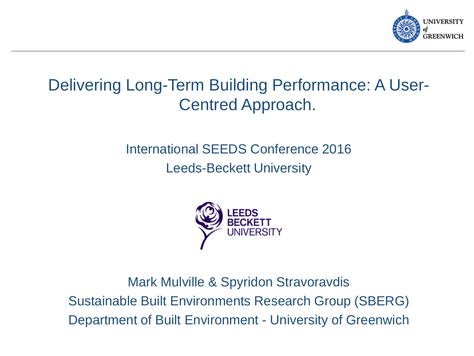

### Delivering Long-Term Building Performance: A User-Centred Approach.

#### International SEEDS Conference 2016 Leeds-Beckett University



Mark Mulville & Spyridon Stravoravdis Sustainable Built Environments Research Group (SBERG) Department of Built Environment - University of Greenwich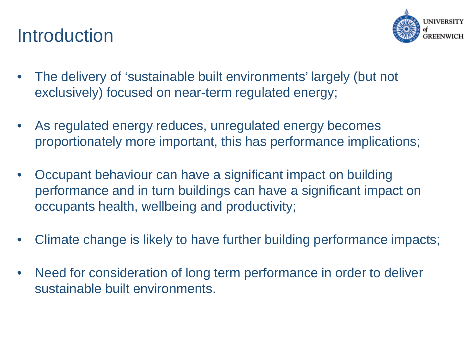

- The delivery of 'sustainable built environments' largely (but not exclusively) focused on near-term regulated energy;
- As regulated energy reduces, unregulated energy becomes proportionately more important, this has performance implications;
- Occupant behaviour can have a significant impact on building performance and in turn buildings can have a significant impact on occupants health, wellbeing and productivity;
- Climate change is likely to have further building performance impacts;
- Need for consideration of long term performance in order to deliver sustainable built environments.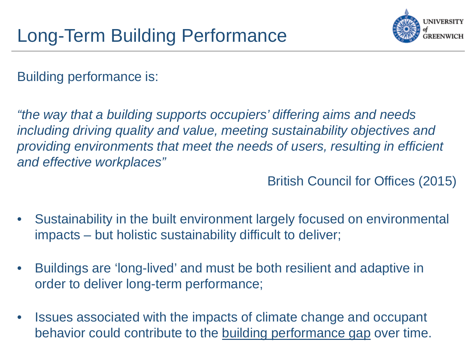

Building performance is:

*"the way that a building supports occupiers' differing aims and needs including driving quality and value, meeting sustainability objectives and providing environments that meet the needs of users, resulting in efficient and effective workplaces"*

British Council for Offices (2015)

- Sustainability in the built environment largely focused on environmental impacts – but holistic sustainability difficult to deliver;
- Buildings are 'long-lived' and must be both resilient and adaptive in order to deliver long-term performance;
- Issues associated with the impacts of climate change and occupant behavior could contribute to the building performance gap over time.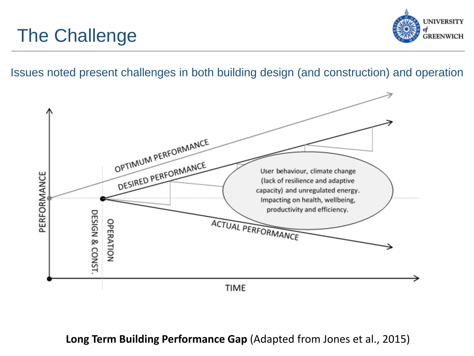## The Challenge



Issues noted present challenges in both building design (and construction) and operation



**Long Term Building Performance Gap** (Adapted from Jones et al., 2015)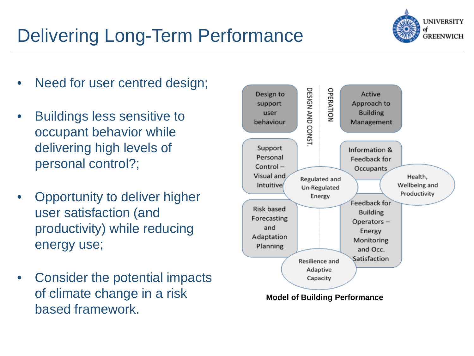# Delivering Long-Term Performance



- Need for user centred design;
- Buildings less sensitive to occupant behavior while delivering high levels of personal control?;
- Opportunity to deliver higher user satisfaction (and productivity) while reducing energy use;
- Consider the potential impacts of climate change in a risk based framework.

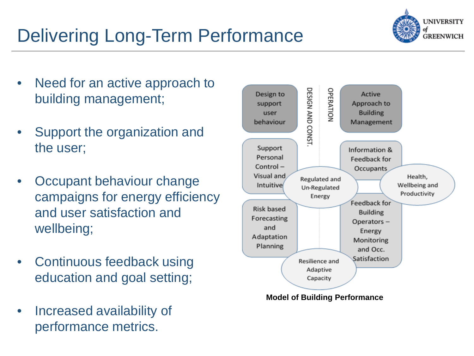# Delivering Long-Term Performance



- Need for an active approach to building management;
- Support the organization and the user;
- Occupant behaviour change campaigns for energy efficiency and user satisfaction and wellbeing;
- Continuous feedback using education and goal setting;
- Increased availability of performance metrics.

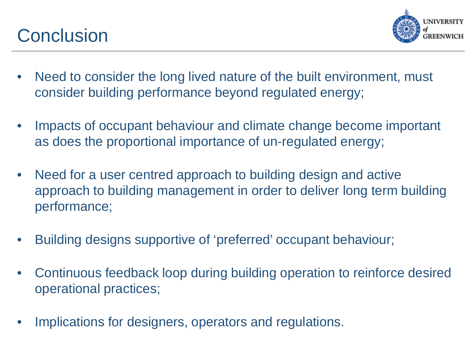## **Conclusion**



- Need to consider the long lived nature of the built environment, must consider building performance beyond regulated energy;
- Impacts of occupant behaviour and climate change become important as does the proportional importance of un-regulated energy;
- Need for a user centred approach to building design and active approach to building management in order to deliver long term building performance;
- Building designs supportive of 'preferred' occupant behaviour;
- Continuous feedback loop during building operation to reinforce desired operational practices;
- Implications for designers, operators and regulations.